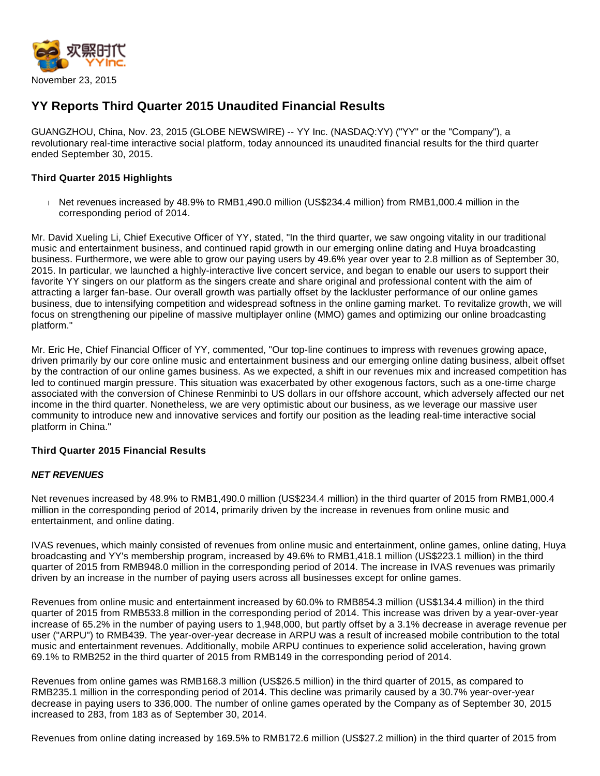

# **YY Reports Third Quarter 2015 Unaudited Financial Results**

GUANGZHOU, China, Nov. 23, 2015 (GLOBE NEWSWIRE) -- YY Inc. (NASDAQ:YY) ("YY" or the "Company"), a revolutionary real-time interactive social platform, today announced its unaudited financial results for the third quarter ended September 30, 2015.

# **Third Quarter 2015 Highlights**

Net revenues increased by 48.9% to RMB1,490.0 million (US\$234.4 million) from RMB1,000.4 million in the corresponding period of 2014.

Mr. David Xueling Li, Chief Executive Officer of YY, stated, "In the third quarter, we saw ongoing vitality in our traditional music and entertainment business, and continued rapid growth in our emerging online dating and Huya broadcasting business. Furthermore, we were able to grow our paying users by 49.6% year over year to 2.8 million as of September 30, 2015. In particular, we launched a highly-interactive live concert service, and began to enable our users to support their favorite YY singers on our platform as the singers create and share original and professional content with the aim of attracting a larger fan-base. Our overall growth was partially offset by the lackluster performance of our online games business, due to intensifying competition and widespread softness in the online gaming market. To revitalize growth, we will focus on strengthening our pipeline of massive multiplayer online (MMO) games and optimizing our online broadcasting platform."

Mr. Eric He, Chief Financial Officer of YY, commented, "Our top-line continues to impress with revenues growing apace, driven primarily by our core online music and entertainment business and our emerging online dating business, albeit offset by the contraction of our online games business. As we expected, a shift in our revenues mix and increased competition has led to continued margin pressure. This situation was exacerbated by other exogenous factors, such as a one-time charge associated with the conversion of Chinese Renminbi to US dollars in our offshore account, which adversely affected our net income in the third quarter. Nonetheless, we are very optimistic about our business, as we leverage our massive user community to introduce new and innovative services and fortify our position as the leading real-time interactive social platform in China."

#### **Third Quarter 2015 Financial Results**

#### **NET REVENUES**

Net revenues increased by 48.9% to RMB1,490.0 million (US\$234.4 million) in the third quarter of 2015 from RMB1,000.4 million in the corresponding period of 2014, primarily driven by the increase in revenues from online music and entertainment, and online dating.

IVAS revenues, which mainly consisted of revenues from online music and entertainment, online games, online dating, Huya broadcasting and YY's membership program, increased by 49.6% to RMB1,418.1 million (US\$223.1 million) in the third quarter of 2015 from RMB948.0 million in the corresponding period of 2014. The increase in IVAS revenues was primarily driven by an increase in the number of paying users across all businesses except for online games.

Revenues from online music and entertainment increased by 60.0% to RMB854.3 million (US\$134.4 million) in the third quarter of 2015 from RMB533.8 million in the corresponding period of 2014. This increase was driven by a year-over-year increase of 65.2% in the number of paying users to 1,948,000, but partly offset by a 3.1% decrease in average revenue per user ("ARPU") to RMB439. The year-over-year decrease in ARPU was a result of increased mobile contribution to the total music and entertainment revenues. Additionally, mobile ARPU continues to experience solid acceleration, having grown 69.1% to RMB252 in the third quarter of 2015 from RMB149 in the corresponding period of 2014.

Revenues from online games was RMB168.3 million (US\$26.5 million) in the third quarter of 2015, as compared to RMB235.1 million in the corresponding period of 2014. This decline was primarily caused by a 30.7% year-over-year decrease in paying users to 336,000. The number of online games operated by the Company as of September 30, 2015 increased to 283, from 183 as of September 30, 2014.

Revenues from online dating increased by 169.5% to RMB172.6 million (US\$27.2 million) in the third quarter of 2015 from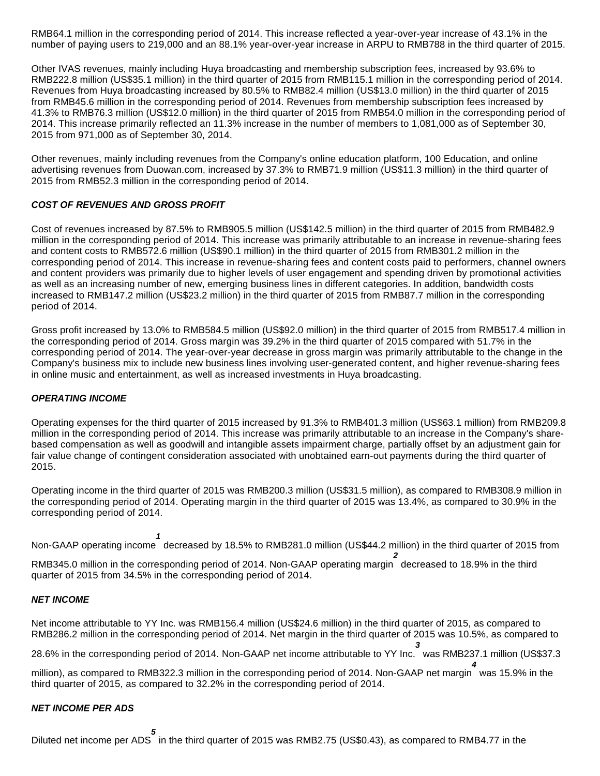RMB64.1 million in the corresponding period of 2014. This increase reflected a year-over-year increase of 43.1% in the number of paying users to 219,000 and an 88.1% year-over-year increase in ARPU to RMB788 in the third quarter of 2015.

Other IVAS revenues, mainly including Huya broadcasting and membership subscription fees, increased by 93.6% to RMB222.8 million (US\$35.1 million) in the third quarter of 2015 from RMB115.1 million in the corresponding period of 2014. Revenues from Huya broadcasting increased by 80.5% to RMB82.4 million (US\$13.0 million) in the third quarter of 2015 from RMB45.6 million in the corresponding period of 2014. Revenues from membership subscription fees increased by 41.3% to RMB76.3 million (US\$12.0 million) in the third quarter of 2015 from RMB54.0 million in the corresponding period of 2014. This increase primarily reflected an 11.3% increase in the number of members to 1,081,000 as of September 30, 2015 from 971,000 as of September 30, 2014.

Other revenues, mainly including revenues from the Company's online education platform, 100 Education, and online advertising revenues from Duowan.com, increased by 37.3% to RMB71.9 million (US\$11.3 million) in the third quarter of 2015 from RMB52.3 million in the corresponding period of 2014.

### **COST OF REVENUES AND GROSS PROFIT**

Cost of revenues increased by 87.5% to RMB905.5 million (US\$142.5 million) in the third quarter of 2015 from RMB482.9 million in the corresponding period of 2014. This increase was primarily attributable to an increase in revenue-sharing fees and content costs to RMB572.6 million (US\$90.1 million) in the third quarter of 2015 from RMB301.2 million in the corresponding period of 2014. This increase in revenue-sharing fees and content costs paid to performers, channel owners and content providers was primarily due to higher levels of user engagement and spending driven by promotional activities as well as an increasing number of new, emerging business lines in different categories. In addition, bandwidth costs increased to RMB147.2 million (US\$23.2 million) in the third quarter of 2015 from RMB87.7 million in the corresponding period of 2014.

Gross profit increased by 13.0% to RMB584.5 million (US\$92.0 million) in the third quarter of 2015 from RMB517.4 million in the corresponding period of 2014. Gross margin was 39.2% in the third quarter of 2015 compared with 51.7% in the corresponding period of 2014. The year-over-year decrease in gross margin was primarily attributable to the change in the Company's business mix to include new business lines involving user-generated content, and higher revenue-sharing fees in online music and entertainment, as well as increased investments in Huya broadcasting.

#### **OPERATING INCOME**

Operating expenses for the third quarter of 2015 increased by 91.3% to RMB401.3 million (US\$63.1 million) from RMB209.8 million in the corresponding period of 2014. This increase was primarily attributable to an increase in the Company's sharebased compensation as well as goodwill and intangible assets impairment charge, partially offset by an adjustment gain for fair value change of contingent consideration associated with unobtained earn-out payments during the third quarter of 2015.

Operating income in the third quarter of 2015 was RMB200.3 million (US\$31.5 million), as compared to RMB308.9 million in the corresponding period of 2014. Operating margin in the third quarter of 2015 was 13.4%, as compared to 30.9% in the corresponding period of 2014.

Non-GAAP operating income **1** decreased by 18.5% to RMB281.0 million (US\$44.2 million) in the third quarter of 2015 from

RMB345.0 million in the corresponding period of 2014. Non-GAAP operating margin **2** decreased to 18.9% in the third quarter of 2015 from 34.5% in the corresponding period of 2014.

#### **NET INCOME**

Net income attributable to YY Inc. was RMB156.4 million (US\$24.6 million) in the third quarter of 2015, as compared to RMB286.2 million in the corresponding period of 2014. Net margin in the third quarter of 2015 was 10.5%, as compared to

28.6% in the corresponding period of 2014. Non-GAAP net income attributable to YY Inc. was RMB237.1 million (US\$37.3 **3**

million), as compared to RMB322.3 million in the corresponding period of 2014. Non-GAAP net margin **4** was 15.9% in the third quarter of 2015, as compared to 32.2% in the corresponding period of 2014.

# **NET INCOME PER ADS**

Diluted net income per ADS **5** in the third quarter of 2015 was RMB2.75 (US\$0.43), as compared to RMB4.77 in the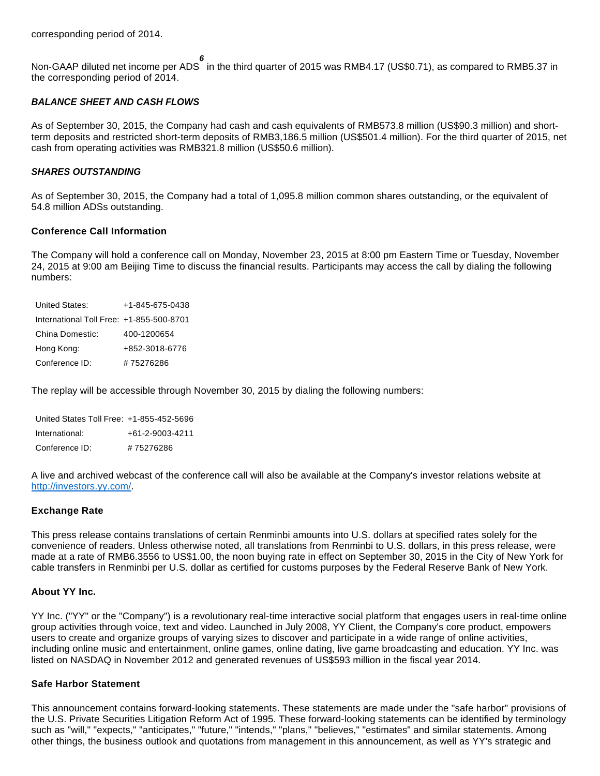Non-GAAP diluted net income per ADS **6** in the third quarter of 2015 was RMB4.17 (US\$0.71), as compared to RMB5.37 in the corresponding period of 2014.

#### **BALANCE SHEET AND CASH FLOWS**

As of September 30, 2015, the Company had cash and cash equivalents of RMB573.8 million (US\$90.3 million) and shortterm deposits and restricted short-term deposits of RMB3,186.5 million (US\$501.4 million). For the third quarter of 2015, net cash from operating activities was RMB321.8 million (US\$50.6 million).

#### **SHARES OUTSTANDING**

As of September 30, 2015, the Company had a total of 1,095.8 million common shares outstanding, or the equivalent of 54.8 million ADSs outstanding.

### **Conference Call Information**

The Company will hold a conference call on Monday, November 23, 2015 at 8:00 pm Eastern Time or Tuesday, November 24, 2015 at 9:00 am Beijing Time to discuss the financial results. Participants may access the call by dialing the following numbers:

| United States:                           | $+1 - 845 - 675 - 0438$ |
|------------------------------------------|-------------------------|
| International Toll Free: +1-855-500-8701 |                         |
| China Domestic:                          | 400-1200654             |
| Hong Kong:                               | +852-3018-6776          |
| Conference ID:                           | #75276286               |

The replay will be accessible through November 30, 2015 by dialing the following numbers:

| United States Toll Free: +1-855-452-5696 |                 |
|------------------------------------------|-----------------|
| International:                           | +61-2-9003-4211 |
| Conference ID:                           | #75276286       |

A live and archived webcast of the conference call will also be available at the Company's investor relations website at [http://investors.yy.com/.](http://www.globenewswire.com/newsroom/ctr?d=10157071&l=33&u=http%3A%2F%2Finvestors.yy.com%2F)

#### **Exchange Rate**

This press release contains translations of certain Renminbi amounts into U.S. dollars at specified rates solely for the convenience of readers. Unless otherwise noted, all translations from Renminbi to U.S. dollars, in this press release, were made at a rate of RMB6.3556 to US\$1.00, the noon buying rate in effect on September 30, 2015 in the City of New York for cable transfers in Renminbi per U.S. dollar as certified for customs purposes by the Federal Reserve Bank of New York.

#### **About YY Inc.**

YY Inc. ("YY" or the "Company") is a revolutionary real-time interactive social platform that engages users in real-time online group activities through voice, text and video. Launched in July 2008, YY Client, the Company's core product, empowers users to create and organize groups of varying sizes to discover and participate in a wide range of online activities, including online music and entertainment, online games, online dating, live game broadcasting and education. YY Inc. was listed on NASDAQ in November 2012 and generated revenues of US\$593 million in the fiscal year 2014.

#### **Safe Harbor Statement**

This announcement contains forward-looking statements. These statements are made under the "safe harbor" provisions of the U.S. Private Securities Litigation Reform Act of 1995. These forward-looking statements can be identified by terminology such as "will," "expects," "anticipates," "future," "intends," "plans," "believes," "estimates" and similar statements. Among other things, the business outlook and quotations from management in this announcement, as well as YY's strategic and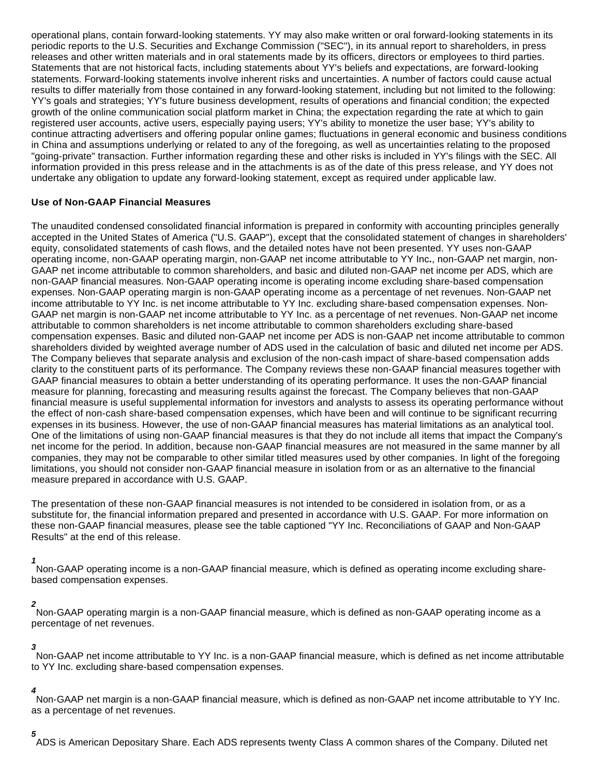operational plans, contain forward-looking statements. YY may also make written or oral forward-looking statements in its periodic reports to the U.S. Securities and Exchange Commission ("SEC"), in its annual report to shareholders, in press releases and other written materials and in oral statements made by its officers, directors or employees to third parties. Statements that are not historical facts, including statements about YY's beliefs and expectations, are forward-looking statements. Forward-looking statements involve inherent risks and uncertainties. A number of factors could cause actual results to differ materially from those contained in any forward-looking statement, including but not limited to the following: YY's goals and strategies; YY's future business development, results of operations and financial condition; the expected growth of the online communication social platform market in China; the expectation regarding the rate at which to gain registered user accounts, active users, especially paying users; YY's ability to monetize the user base; YY's ability to continue attracting advertisers and offering popular online games; fluctuations in general economic and business conditions in China and assumptions underlying or related to any of the foregoing, as well as uncertainties relating to the proposed "going-private" transaction. Further information regarding these and other risks is included in YY's filings with the SEC. All information provided in this press release and in the attachments is as of the date of this press release, and YY does not undertake any obligation to update any forward-looking statement, except as required under applicable law.

### **Use of Non-GAAP Financial Measures**

The unaudited condensed consolidated financial information is prepared in conformity with accounting principles generally accepted in the United States of America ("U.S. GAAP"), except that the consolidated statement of changes in shareholders' equity, consolidated statements of cash flows, and the detailed notes have not been presented. YY uses non-GAAP operating income, non-GAAP operating margin, non-GAAP net income attributable to YY Inc**.**, non-GAAP net margin, non-GAAP net income attributable to common shareholders, and basic and diluted non-GAAP net income per ADS, which are non-GAAP financial measures. Non-GAAP operating income is operating income excluding share-based compensation expenses. Non-GAAP operating margin is non-GAAP operating income as a percentage of net revenues. Non-GAAP net income attributable to YY Inc. is net income attributable to YY Inc. excluding share-based compensation expenses. Non-GAAP net margin is non-GAAP net income attributable to YY Inc. as a percentage of net revenues. Non-GAAP net income attributable to common shareholders is net income attributable to common shareholders excluding share-based compensation expenses. Basic and diluted non-GAAP net income per ADS is non-GAAP net income attributable to common shareholders divided by weighted average number of ADS used in the calculation of basic and diluted net income per ADS. The Company believes that separate analysis and exclusion of the non-cash impact of share-based compensation adds clarity to the constituent parts of its performance. The Company reviews these non-GAAP financial measures together with GAAP financial measures to obtain a better understanding of its operating performance. It uses the non-GAAP financial measure for planning, forecasting and measuring results against the forecast. The Company believes that non-GAAP financial measure is useful supplemental information for investors and analysts to assess its operating performance without the effect of non-cash share-based compensation expenses, which have been and will continue to be significant recurring expenses in its business. However, the use of non-GAAP financial measures has material limitations as an analytical tool. One of the limitations of using non-GAAP financial measures is that they do not include all items that impact the Company's net income for the period. In addition, because non-GAAP financial measures are not measured in the same manner by all companies, they may not be comparable to other similar titled measures used by other companies. In light of the foregoing limitations, you should not consider non-GAAP financial measure in isolation from or as an alternative to the financial measure prepared in accordance with U.S. GAAP.

The presentation of these non-GAAP financial measures is not intended to be considered in isolation from, or as a substitute for, the financial information prepared and presented in accordance with U.S. GAAP. For more information on these non-GAAP financial measures, please see the table captioned "YY Inc. Reconciliations of GAAP and Non-GAAP Results" at the end of this release.

**1**

Non-GAAP operating income is a non-GAAP financial measure, which is defined as operating income excluding sharebased compensation expenses.

#### **2**

Non-GAAP operating margin is a non-GAAP financial measure, which is defined as non-GAAP operating income as a percentage of net revenues.

**3**

Non-GAAP net income attributable to YY Inc. is a non-GAAP financial measure, which is defined as net income attributable to YY Inc. excluding share-based compensation expenses.

#### **4**

Non-GAAP net margin is a non-GAAP financial measure, which is defined as non-GAAP net income attributable to YY Inc. as a percentage of net revenues.

**5** ADS is American Depositary Share. Each ADS represents twenty Class A common shares of the Company. Diluted net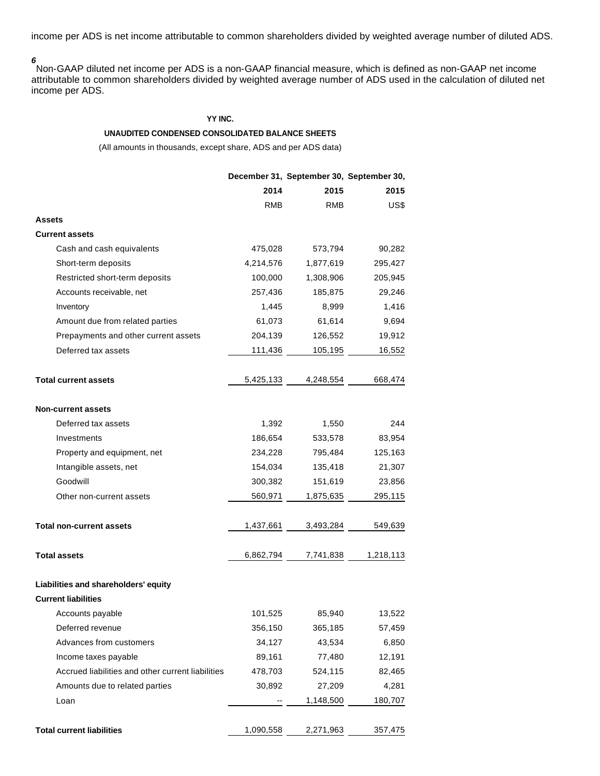income per ADS is net income attributable to common shareholders divided by weighted average number of diluted ADS.

**6**

Non-GAAP diluted net income per ADS is a non-GAAP financial measure, which is defined as non-GAAP net income attributable to common shareholders divided by weighted average number of ADS used in the calculation of diluted net income per ADS.

#### **YY INC.**

#### **UNAUDITED CONDENSED CONSOLIDATED BALANCE SHEETS**

|                                                   |            | December 31, September 30, September 30, |           |
|---------------------------------------------------|------------|------------------------------------------|-----------|
|                                                   | 2014       | 2015                                     | 2015      |
|                                                   | <b>RMB</b> | RMB                                      | US\$      |
| Assets                                            |            |                                          |           |
| <b>Current assets</b>                             |            |                                          |           |
| Cash and cash equivalents                         | 475,028    | 573,794                                  | 90,282    |
| Short-term deposits                               | 4,214,576  | 1,877,619                                | 295,427   |
| Restricted short-term deposits                    | 100,000    | 1,308,906                                | 205,945   |
| Accounts receivable, net                          | 257,436    | 185,875                                  | 29,246    |
| Inventory                                         | 1,445      | 8,999                                    | 1,416     |
| Amount due from related parties                   | 61,073     | 61,614                                   | 9,694     |
| Prepayments and other current assets              | 204,139    | 126,552                                  | 19,912    |
| Deferred tax assets                               | 111,436    | 105,195                                  | 16,552    |
| <b>Total current assets</b>                       | 5,425,133  | 4,248,554                                | 668,474   |
| <b>Non-current assets</b>                         |            |                                          |           |
| Deferred tax assets                               | 1,392      | 1,550                                    | 244       |
| Investments                                       | 186,654    | 533,578                                  | 83,954    |
| Property and equipment, net                       | 234,228    | 795,484                                  | 125,163   |
| Intangible assets, net                            | 154,034    | 135,418                                  | 21,307    |
| Goodwill                                          | 300,382    | 151,619                                  | 23,856    |
| Other non-current assets                          | 560,971    | 1,875,635                                | 295,115   |
| <b>Total non-current assets</b>                   | 1,437,661  | 3,493,284                                | 549,639   |
| <b>Total assets</b>                               | 6,862,794  | 7,741,838                                | 1,218,113 |
| Liabilities and shareholders' equity              |            |                                          |           |
| <b>Current liabilities</b>                        |            |                                          |           |
| Accounts payable                                  | 101,525    | 85,940                                   | 13,522    |
| Deferred revenue                                  | 356,150    | 365,185                                  | 57,459    |
| Advances from customers                           | 34,127     | 43,534                                   | 6,850     |
| Income taxes payable                              | 89,161     | 77,480                                   | 12,191    |
| Accrued liabilities and other current liabilities | 478,703    | 524,115                                  | 82,465    |
| Amounts due to related parties                    | 30,892     | 27,209                                   | 4,281     |
| Loan                                              |            | 1,148,500                                | 180,707   |
| <b>Total current liabilities</b>                  | 1,090,558  | 2,271,963                                | 357,475   |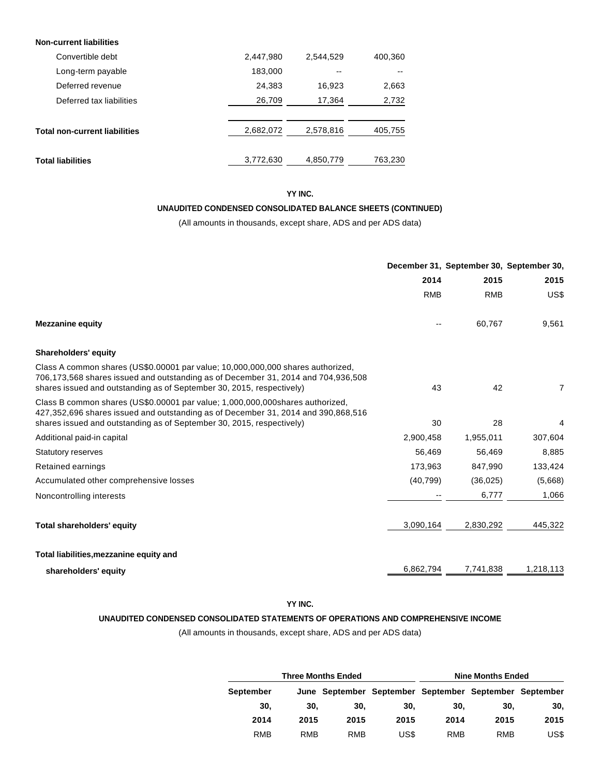| <b>Non-current liabilities</b>       |           |           |         |
|--------------------------------------|-----------|-----------|---------|
| Convertible debt                     | 2,447,980 | 2.544.529 | 400,360 |
| Long-term payable                    | 183,000   | --        |         |
| Deferred revenue                     | 24,383    | 16,923    | 2,663   |
| Deferred tax liabilities             | 26,709    | 17,364    | 2,732   |
|                                      |           |           |         |
| <b>Total non-current liabilities</b> | 2,682,072 | 2,578,816 | 405,755 |
|                                      |           |           |         |
| <b>Total liabilities</b>             | 3,772,630 | 4,850,779 | 763,230 |

# **YY INC.**

### **UNAUDITED CONDENSED CONSOLIDATED BALANCE SHEETS (CONTINUED)**

(All amounts in thousands, except share, ADS and per ADS data)

|                                                                                                                                                                                                                                               |            |            | December 31, September 30, September 30, |
|-----------------------------------------------------------------------------------------------------------------------------------------------------------------------------------------------------------------------------------------------|------------|------------|------------------------------------------|
|                                                                                                                                                                                                                                               | 2014       | 2015       | 2015                                     |
|                                                                                                                                                                                                                                               | <b>RMB</b> | <b>RMB</b> | US\$                                     |
| <b>Mezzanine equity</b>                                                                                                                                                                                                                       |            | 60,767     | 9,561                                    |
| <b>Shareholders' equity</b>                                                                                                                                                                                                                   |            |            |                                          |
| Class A common shares (US\$0.00001 par value; 10,000,000,000 shares authorized,<br>706,173,568 shares issued and outstanding as of December 31, 2014 and 704,936,508<br>shares issued and outstanding as of September 30, 2015, respectively) | 43         | 42         | $\overline{7}$                           |
| Class B common shares (US\$0.00001 par value: 1,000,000,000shares authorized,<br>427,352,696 shares issued and outstanding as of December 31, 2014 and 390,868,516<br>shares issued and outstanding as of September 30, 2015, respectively)   | 30         | 28         | 4                                        |
| Additional paid-in capital                                                                                                                                                                                                                    | 2,900,458  | 1,955,011  | 307,604                                  |
| <b>Statutory reserves</b>                                                                                                                                                                                                                     | 56,469     | 56,469     | 8,885                                    |
| Retained earnings                                                                                                                                                                                                                             | 173,963    | 847.990    | 133,424                                  |
| Accumulated other comprehensive losses                                                                                                                                                                                                        | (40, 799)  | (36, 025)  | (5,668)                                  |
| Noncontrolling interests                                                                                                                                                                                                                      |            | 6,777      | 1,066                                    |
| <b>Total shareholders' equity</b>                                                                                                                                                                                                             | 3,090,164  | 2,830,292  | 445,322                                  |
| Total liabilities, mezzanine equity and                                                                                                                                                                                                       |            |            |                                          |
| shareholders' equity                                                                                                                                                                                                                          | 6,862,794  | 7,741,838  | 1,218,113                                |

# **YY INC.**

#### **UNAUDITED CONDENSED CONSOLIDATED STATEMENTS OF OPERATIONS AND COMPREHENSIVE INCOME**

|                  |      | <b>Three Months Ended</b> | <b>Nine Months Ended</b> |      |                                                        |      |  |
|------------------|------|---------------------------|--------------------------|------|--------------------------------------------------------|------|--|
| <b>September</b> |      |                           |                          |      | June September September September September September |      |  |
| 30.              | 30.  | 30.                       | 30.                      | 30.  | 30.                                                    | 30.  |  |
| 2014             | 2015 | 2015                      | 2015                     | 2014 | 2015                                                   | 2015 |  |
| RMB              | RMB  | RMB                       | US\$                     | RMB  | RMB                                                    | US\$ |  |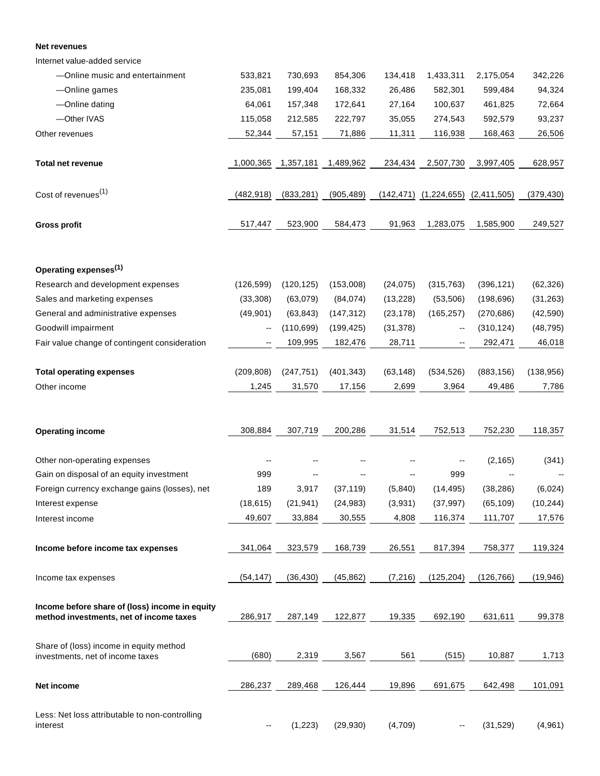#### **Net revenues**

Internet value-added service

| -Online music and entertainment                                                           | 533,821                  | 730,693    | 854,306    | 134,418   | 1,433,311                                    | 2,175,054  | 342,226    |
|-------------------------------------------------------------------------------------------|--------------------------|------------|------------|-----------|----------------------------------------------|------------|------------|
| -Online games                                                                             | 235,081                  | 199,404    | 168,332    | 26,486    | 582,301                                      | 599,484    | 94,324     |
| -Online dating                                                                            | 64,061                   | 157,348    | 172,641    | 27,164    | 100,637                                      | 461,825    | 72,664     |
| -Other IVAS                                                                               | 115,058                  | 212,585    | 222,797    | 35,055    | 274,543                                      | 592,579    | 93,237     |
| Other revenues                                                                            | 52,344                   | 57,151     | 71,886     | 11,311    | 116,938                                      | 168,463    | 26,506     |
| <b>Total net revenue</b>                                                                  | 1,000,365                | 1,357,181  | 1,489,962  | 234,434   | 2,507,730                                    | 3,997,405  | 628,957    |
| Cost of revenues <sup>(1)</sup>                                                           | (482, 918)               | (833, 281) | (905, 489) |           | $(142, 471)$ $(1, 224, 655)$ $(2, 411, 505)$ |            | (379, 430) |
| <b>Gross profit</b>                                                                       | 517,447                  | 523,900    | 584,473    | 91,963    | 1,283,075                                    | 1,585,900  | 249,527    |
| Operating expenses <sup>(1)</sup>                                                         |                          |            |            |           |                                              |            |            |
| Research and development expenses                                                         | (126, 599)               | (120, 125) | (153,008)  | (24, 075) | (315, 763)                                   | (396, 121) | (62, 326)  |
| Sales and marketing expenses                                                              | (33, 308)                | (63,079)   | (84, 074)  | (13, 228) | (53, 506)                                    | (198, 696) | (31, 263)  |
| General and administrative expenses                                                       | (49, 901)                | (63, 843)  | (147, 312) | (23, 178) | (165, 257)                                   | (270, 686) | (42, 590)  |
| Goodwill impairment                                                                       | $\overline{\phantom{a}}$ | (110, 699) | (199, 425) | (31, 378) | --                                           | (310, 124) | (48, 795)  |
| Fair value change of contingent consideration                                             |                          | 109,995    | 182,476    | 28,711    |                                              | 292,471    | 46,018     |
| <b>Total operating expenses</b>                                                           | (209, 808)               | (247, 751) | (401, 343) | (63, 148) | (534, 526)                                   | (883, 156) | (138, 956) |
| Other income                                                                              | 1,245                    | 31,570     | 17,156     | 2,699     | 3,964                                        | 49,486     | 7,786      |
| <b>Operating income</b>                                                                   | 308,884                  | 307,719    | 200,286    | 31,514    | 752,513                                      | 752,230    | 118,357    |
|                                                                                           |                          |            |            |           |                                              |            |            |
| Other non-operating expenses                                                              |                          |            |            |           |                                              | (2, 165)   | (341)      |
| Gain on disposal of an equity investment                                                  | 999                      |            |            |           | 999                                          |            |            |
| Foreign currency exchange gains (losses), net                                             | 189                      | 3,917      | (37, 119)  | (5,840)   | (14, 495)                                    | (38, 286)  | (6,024)    |
| Interest expense                                                                          | (18, 615)                | (21, 941)  | (24, 983)  | (3,931)   | (37, 997)                                    | (65, 109)  | (10, 244)  |
| Interest income                                                                           | 49,607                   | 33,884     | 30,555     | 4,808     | 116,374                                      | 111,707    | 17,576     |
| Income before income tax expenses                                                         | 341,064                  | 323,579    | 168,739    | 26,551    | 817,394                                      | 758,377    | 119,324    |
| Income tax expenses                                                                       | (54, 147)                | (36, 430)  | (45, 862)  | (7, 216)  | (125, 204)                                   | (126, 766) | (19, 946)  |
| Income before share of (loss) income in equity<br>method investments, net of income taxes | 286,917                  | 287,149    | 122,877    | 19,335    | 692,190                                      | 631,611    | 99,378     |
| Share of (loss) income in equity method<br>investments, net of income taxes               | (680)                    | 2,319      | 3,567      | 561       | (515)                                        | 10,887     | 1,713      |
| Net income                                                                                | 286,237                  | 289,468    | 126,444    | 19,896    | 691,675                                      | 642,498    | 101,091    |
| Less: Net loss attributable to non-controlling<br>interest                                | $-$                      | (1, 223)   | (29, 930)  | (4,709)   | --                                           | (31, 529)  | (4,961)    |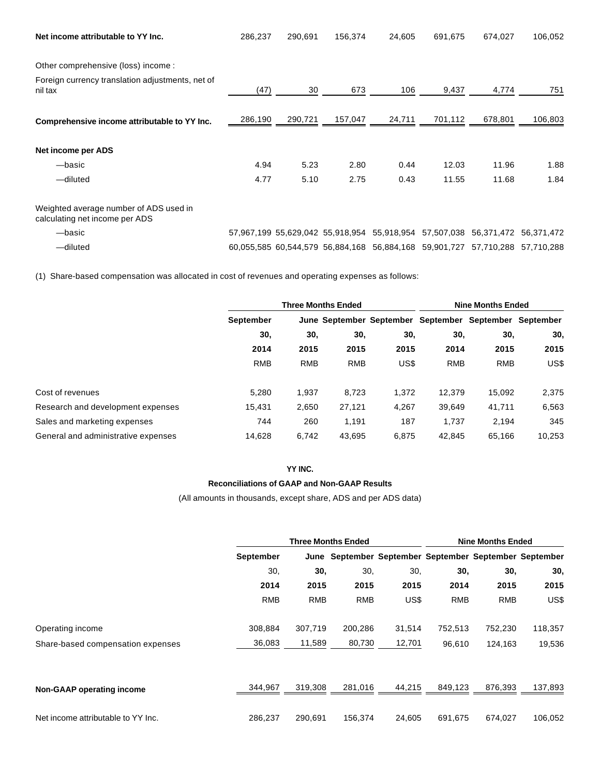| Net income attributable to YY Inc.                                       | 286,237 | 290,691 | 156,374 | 24,605                                      | 691,675                                                                      | 674,027                          | 106,052 |
|--------------------------------------------------------------------------|---------|---------|---------|---------------------------------------------|------------------------------------------------------------------------------|----------------------------------|---------|
|                                                                          |         |         |         |                                             |                                                                              |                                  |         |
| Other comprehensive (loss) income :                                      |         |         |         |                                             |                                                                              |                                  |         |
| Foreign currency translation adjustments, net of<br>nil tax              | (47)    | 30      | 673     | 106                                         | 9,437                                                                        | 4,774                            | 751     |
| Comprehensive income attributable to YY Inc.                             | 286,190 | 290,721 | 157,047 | 24,711                                      | 701,112                                                                      | 678,801                          | 106,803 |
| Net income per ADS                                                       |         |         |         |                                             |                                                                              |                                  |         |
| -basic                                                                   | 4.94    | 5.23    | 2.80    | 0.44                                        | 12.03                                                                        | 11.96                            | 1.88    |
| -diluted                                                                 | 4.77    | 5.10    | 2.75    | 0.43                                        | 11.55                                                                        | 11.68                            | 1.84    |
| Weighted average number of ADS used in<br>calculating net income per ADS |         |         |         |                                             |                                                                              |                                  |         |
| -basic                                                                   |         |         |         | 57,967,199 55,629,042 55,918,954 55,918,954 |                                                                              | 57,507,038 56,371,472 56,371,472 |         |
| -diluted                                                                 |         |         |         |                                             | 60.055.585 60.544.579 56.884.168 56.884.168 59.901.727 57.710.288 57.710.288 |                                  |         |

(1) Share-based compensation was allocated in cost of revenues and operating expenses as follows:

|                                     | <b>Three Months Ended</b> |            |            |       | <b>Nine Months Ended</b>                               |            |        |
|-------------------------------------|---------------------------|------------|------------|-------|--------------------------------------------------------|------------|--------|
|                                     | <b>September</b>          |            |            |       | June September September September September September |            |        |
|                                     | 30,                       | 30,        | 30,        | 30,   | 30,                                                    | 30,        | 30,    |
|                                     | 2014                      | 2015       | 2015       | 2015  | 2014                                                   | 2015       | 2015   |
|                                     | <b>RMB</b>                | <b>RMB</b> | <b>RMB</b> | US\$  | <b>RMB</b>                                             | <b>RMB</b> | US\$   |
| Cost of revenues                    | 5.280                     | 1,937      | 8,723      | 1.372 | 12.379                                                 | 15,092     | 2,375  |
| Research and development expenses   | 15.431                    | 2,650      | 27,121     | 4,267 | 39,649                                                 | 41,711     | 6,563  |
| Sales and marketing expenses        | 744                       | 260        | 1,191      | 187   | 1,737                                                  | 2,194      | 345    |
| General and administrative expenses | 14,628                    | 6.742      | 43,695     | 6,875 | 42.845                                                 | 65,166     | 10,253 |

#### **YY INC.**

#### **Reconciliations of GAAP and Non-GAAP Results**

|                                    |            | <b>Three Months Ended</b> |            |        |                                                        | <b>Nine Months Ended</b> |         |  |
|------------------------------------|------------|---------------------------|------------|--------|--------------------------------------------------------|--------------------------|---------|--|
|                                    | September  |                           |            |        | June September September September September September |                          |         |  |
|                                    | 30,        | 30,                       | 30,        | 30.    | 30,                                                    | 30,                      | 30,     |  |
|                                    | 2014       | 2015                      | 2015       | 2015   | 2014                                                   | 2015                     | 2015    |  |
|                                    | <b>RMB</b> | <b>RMB</b>                | <b>RMB</b> | US\$   | <b>RMB</b>                                             | <b>RMB</b>               | US\$    |  |
| Operating income                   | 308.884    | 307,719                   | 200,286    | 31,514 | 752,513                                                | 752,230                  | 118,357 |  |
| Share-based compensation expenses  | 36,083     | 11,589                    | 80,730     | 12,701 | 96,610                                                 | 124,163                  | 19,536  |  |
|                                    |            |                           |            |        |                                                        |                          |         |  |
| Non-GAAP operating income          | 344,967    | 319,308                   | 281.016    | 44,215 | 849,123                                                | 876,393                  | 137,893 |  |
| Net income attributable to YY Inc. | 286.237    | 290.691                   | 156.374    | 24.605 | 691,675                                                | 674.027                  | 106.052 |  |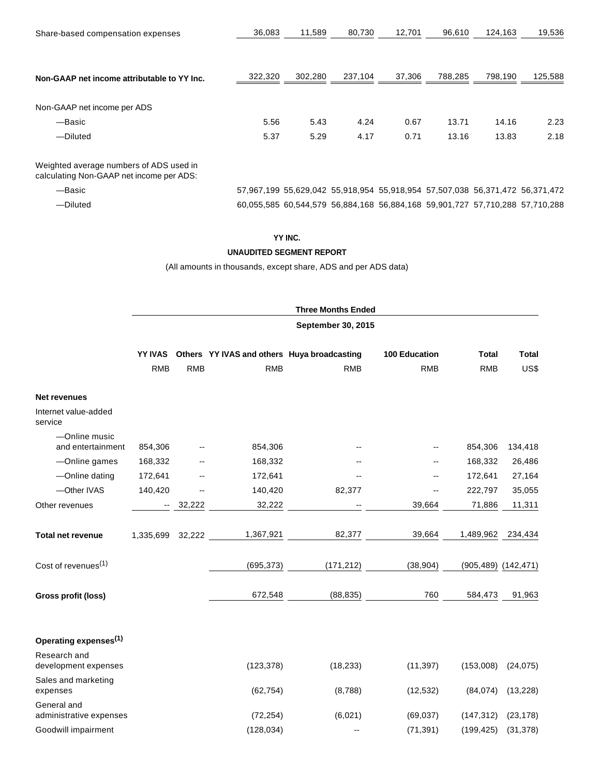| Share-based compensation expenses                                                   | 36,083  | 11,589  | 80,730  | 12,701                                                                       | 96,610  | 124,163 | 19,536  |
|-------------------------------------------------------------------------------------|---------|---------|---------|------------------------------------------------------------------------------|---------|---------|---------|
| Non-GAAP net income attributable to YY Inc.                                         | 322,320 | 302,280 | 237,104 | 37,306                                                                       | 788,285 | 798,190 | 125,588 |
| Non-GAAP net income per ADS                                                         |         |         |         |                                                                              |         |         |         |
| —Basic                                                                              | 5.56    | 5.43    | 4.24    | 0.67                                                                         | 13.71   | 14.16   | 2.23    |
| -Diluted                                                                            | 5.37    | 5.29    | 4.17    | 0.71                                                                         | 13.16   | 13.83   | 2.18    |
| Weighted average numbers of ADS used in<br>calculating Non-GAAP net income per ADS: |         |         |         |                                                                              |         |         |         |
| -Basic                                                                              |         |         |         | 57,967,199 55,629,042 55,918,954 55,918,954 57,507,038 56,371,472 56,371,472 |         |         |         |
| -Diluted                                                                            |         |         |         | 60,055,585 60,544,579 56,884,168 56,884,168 59,901,727 57,710,288 57,710,288 |         |         |         |

**UNAUDITED SEGMENT REPORT**

|                                        |                           |            |                                             | <b>Three Months Ended</b> |                      |              |                     |
|----------------------------------------|---------------------------|------------|---------------------------------------------|---------------------------|----------------------|--------------|---------------------|
|                                        | <b>September 30, 2015</b> |            |                                             |                           |                      |              |                     |
|                                        | <b>YY IVAS</b>            |            | Others YY IVAS and others Huya broadcasting |                           | <b>100 Education</b> | <b>Total</b> | <b>Total</b>        |
|                                        | <b>RMB</b>                | <b>RMB</b> | <b>RMB</b>                                  | <b>RMB</b>                | <b>RMB</b>           | <b>RMB</b>   | US\$                |
| <b>Net revenues</b>                    |                           |            |                                             |                           |                      |              |                     |
| Internet value-added<br>service        |                           |            |                                             |                           |                      |              |                     |
| -Online music<br>and entertainment     | 854,306                   |            | 854,306                                     |                           |                      | 854,306      | 134,418             |
| -Online games                          | 168,332                   |            | 168,332                                     |                           |                      | 168,332      | 26,486              |
| -Online dating                         | 172,641                   |            | 172,641                                     |                           | --                   | 172,641      | 27,164              |
| -Other IVAS                            | 140,420                   |            | 140,420                                     | 82,377                    | --                   | 222,797      | 35,055              |
| Other revenues                         | $\sim$                    | 32,222     | 32,222                                      |                           | 39,664               | 71,886       | 11,311              |
| <b>Total net revenue</b>               | 1,335,699                 | 32,222     | 1,367,921                                   | 82,377                    | 39,664               | 1,489,962    | 234,434             |
| Cost of revenues <sup>(1)</sup>        |                           |            | (695, 373)                                  | (171, 212)                | (38, 904)            |              | (905,489) (142,471) |
| <b>Gross profit (loss)</b>             |                           |            | 672,548                                     | (88, 835)                 | 760                  | 584,473      | 91,963              |
| Operating expenses <sup>(1)</sup>      |                           |            |                                             |                           |                      |              |                     |
| Research and<br>development expenses   |                           |            | (123, 378)                                  | (18, 233)                 | (11, 397)            | (153,008)    | (24, 075)           |
| Sales and marketing<br>expenses        |                           |            | (62, 754)                                   | (8,788)                   | (12, 532)            | (84, 074)    | (13, 228)           |
| General and<br>administrative expenses |                           |            | (72, 254)                                   | (6,021)                   | (69, 037)            | (147, 312)   | (23, 178)           |
| Goodwill impairment                    |                           |            | (128, 034)                                  |                           | (71, 391)            | (199, 425)   | (31, 378)           |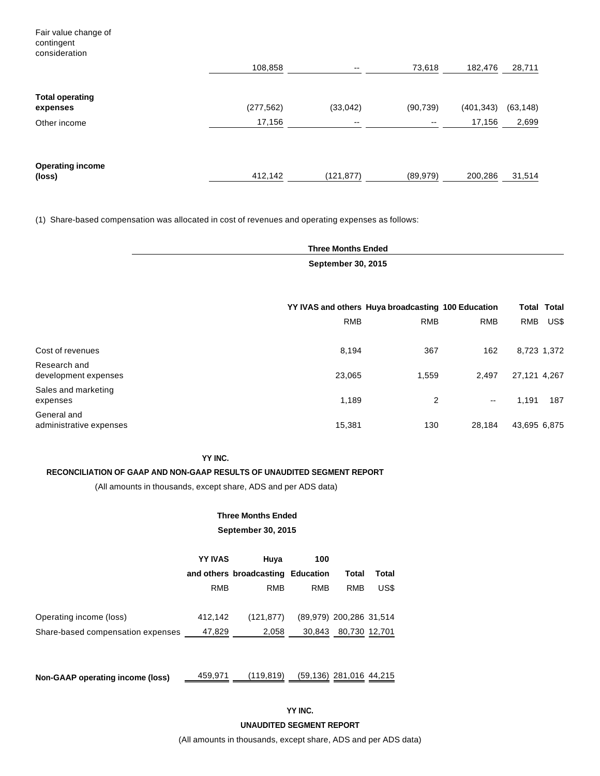Fair value change of contingent consideration

|                                    | 108,858    | $\overline{\phantom{a}}$ | 73,618                   | 182,476    | 28,711    |
|------------------------------------|------------|--------------------------|--------------------------|------------|-----------|
| <b>Total operating</b><br>expenses | (277, 562) | (33,042)                 | (90, 739)                | (401, 343) | (63, 148) |
| Other income                       | 17,156     | $\overline{\phantom{m}}$ | $\overline{\phantom{a}}$ | 17,156     | 2,699     |
| <b>Operating income</b><br>(loss)  | 412,142    | (121, 877)               | (89, 979)                | 200,286    | 31,514    |

(1) Share-based compensation was allocated in cost of revenues and operating expenses as follows:

**Three Months Ended September 30, 2015**

|                                        | YY IVAS and others Huya broadcasting 100 Education |            |                          |              | Total Total |
|----------------------------------------|----------------------------------------------------|------------|--------------------------|--------------|-------------|
|                                        | <b>RMB</b>                                         | <b>RMB</b> | <b>RMB</b>               | <b>RMB</b>   | US\$        |
| Cost of revenues                       | 8,194                                              | 367        | 162                      | 8,723 1,372  |             |
| Research and<br>development expenses   | 23,065                                             | 1,559      | 2,497                    | 27,121 4,267 |             |
| Sales and marketing<br>expenses        | 1,189                                              | 2          | $\overline{\phantom{a}}$ | 1.191        | 187         |
| General and<br>administrative expenses | 15,381                                             | 130        | 28,184                   | 43,695 6,875 |             |

#### **YY INC.**

#### **RECONCILIATION OF GAAP AND NON-GAAP RESULTS OF UNAUDITED SEGMENT REPORT**

(All amounts in thousands, except share, ADS and per ADS data)

# **Three Months Ended September 30, 2015**

# **YY IVAS Huya 100 and others broadcasting Education Total Total** RMB RMB RMB RMB US\$ Operating income (loss) 412,142 (121,877) (89,979) 200,286 31,514 Share-based compensation expenses \_\_\_\_\_ 47,829 \_\_\_\_\_\_ 2,058 \_\_\_ 30,843 \_\_ 80,730 12,701

**Non-GAAP operating income (loss)** 459,971 (119,819) (59,136) 281,016 44,215

**YY INC.**

**UNAUDITED SEGMENT REPORT**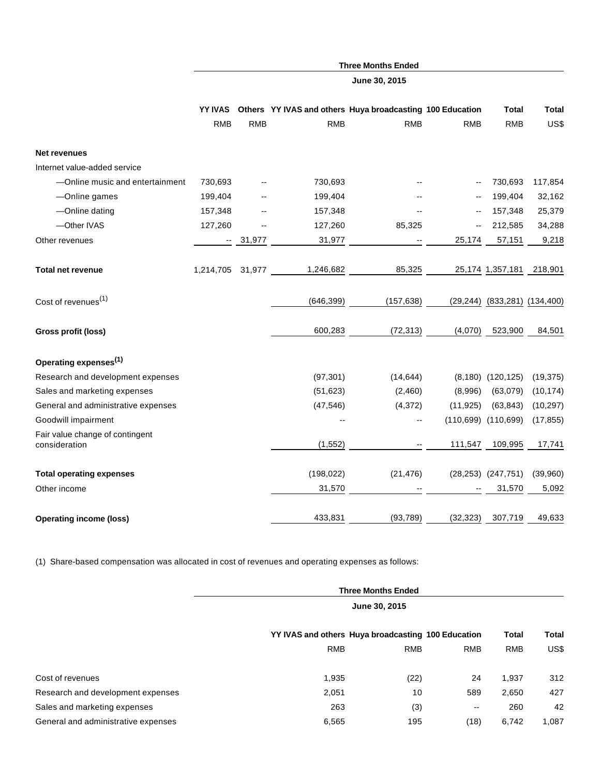|                                     | YY IVAS          |            |            | Others YY IVAS and others Huya broadcasting 100 Education |            | Total                                 | <b>Total</b> |
|-------------------------------------|------------------|------------|------------|-----------------------------------------------------------|------------|---------------------------------------|--------------|
|                                     | <b>RMB</b>       | <b>RMB</b> | <b>RMB</b> | <b>RMB</b>                                                | <b>RMB</b> | <b>RMB</b>                            | US\$         |
|                                     |                  |            |            |                                                           |            |                                       |              |
| <b>Net revenues</b>                 |                  |            |            |                                                           |            |                                       |              |
| Internet value-added service        |                  |            |            |                                                           |            |                                       |              |
| -Online music and entertainment     | 730,693          |            | 730,693    |                                                           |            | 730,693                               | 117,854      |
| -Online games                       | 199,404          |            | 199,404    |                                                           |            | 199,404                               | 32,162       |
| -Online dating                      | 157,348          |            | 157,348    |                                                           | --         | 157,348                               | 25,379       |
| -Other IVAS                         | 127,260          |            | 127,260    | 85,325                                                    | --         | 212,585                               | 34,288       |
| Other revenues                      |                  | $-31,977$  | 31,977     |                                                           | 25,174     | 57,151                                | 9,218        |
| <b>Total net revenue</b>            | 1,214,705 31,977 |            | 1,246,682  | 85,325                                                    |            | 25,174 1,357,181                      | 218,901      |
| Cost of revenues <sup>(1)</sup>     |                  |            | (646, 399) | (157, 638)                                                |            | $(29, 244)$ $(833, 281)$ $(134, 400)$ |              |
| Gross profit (loss)                 |                  |            | 600,283    | (72, 313)                                                 | (4,070)    | 523,900                               | 84,501       |
| Operating expenses <sup>(1)</sup>   |                  |            |            |                                                           |            |                                       |              |
| Research and development expenses   |                  |            | (97, 301)  | (14, 644)                                                 |            | $(8,180)$ $(120,125)$                 | (19, 375)    |
| Sales and marketing expenses        |                  |            | (51, 623)  | (2,460)                                                   | (8,996)    | (63,079)                              | (10, 174)    |
| General and administrative expenses |                  |            | (47, 546)  | (4, 372)                                                  | (11, 925)  | (63, 843)                             | (10, 297)    |
| Goodwill impairment                 |                  |            |            | $-$                                                       |            | $(110,699)$ $(110,699)$               | (17, 855)    |
| Fair value change of contingent     |                  |            |            |                                                           |            |                                       |              |
| consideration                       |                  |            | (1, 552)   |                                                           | 111,547    | 109,995                               | 17,741       |
| <b>Total operating expenses</b>     |                  |            | (198, 022) | (21, 476)                                                 |            | $(28, 253)$ $(247, 751)$              | (39,960)     |
| Other income                        |                  |            | 31,570     |                                                           |            | 31,570                                | 5,092        |
| <b>Operating income (loss)</b>      |                  |            | 433,831    | (93, 789)                                                 | (32, 323)  | 307,719                               | 49,633       |

**Three Months Ended June 30, 2015**

(1) Share-based compensation was allocated in cost of revenues and operating expenses as follows:

|                                     | <b>Three Months Ended</b><br>June 30, 2015         |            |            |              |       |  |
|-------------------------------------|----------------------------------------------------|------------|------------|--------------|-------|--|
|                                     |                                                    |            |            |              |       |  |
|                                     | YY IVAS and others Huya broadcasting 100 Education |            |            | <b>Total</b> | Total |  |
|                                     | <b>RMB</b>                                         | <b>RMB</b> | <b>RMB</b> | <b>RMB</b>   | US\$  |  |
| Cost of revenues                    | 1,935                                              | (22)       | 24         | 1,937        | 312   |  |
| Research and development expenses   | 2,051                                              | 10         | 589        | 2,650        | 427   |  |
| Sales and marketing expenses        | 263                                                | (3)        | --         | 260          | 42    |  |
| General and administrative expenses | 6,565                                              | 195        | (18)       | 6,742        | 1,087 |  |